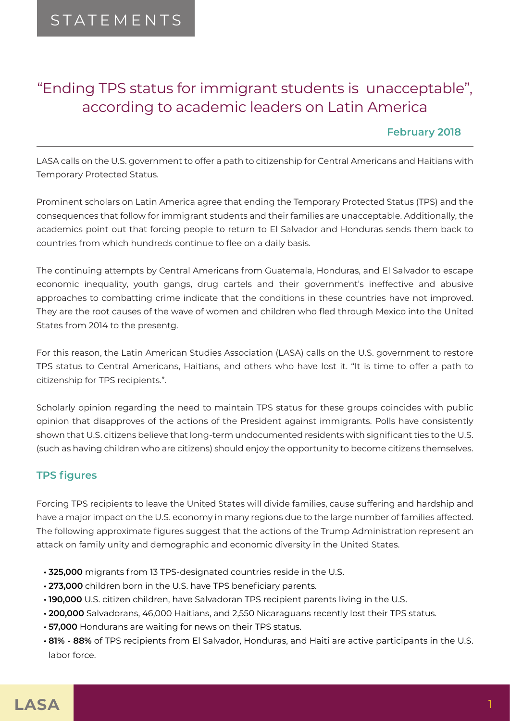# "Ending TPS status for immigrant students is unacceptable", according to academic leaders on Latin America

## **February 2018**

LASA calls on the U.S. government to offer a path to citizenship for Central Americans and Haitians with Temporary Protected Status.

Prominent scholars on Latin America agree that ending the Temporary Protected Status (TPS) and the consequences that follow for immigrant students and their families are unacceptable. Additionally, the academics point out that forcing people to return to El Salvador and Honduras sends them back to countries from which hundreds continue to flee on a daily basis.

The continuing attempts by Central Americans from Guatemala, Honduras, and El Salvador to escape economic inequality, youth gangs, drug cartels and their government's ineffective and abusive approaches to combatting crime indicate that the conditions in these countries have not improved. They are the root causes of the wave of women and children who fled through Mexico into the United States from 2014 to the presentg.

For this reason, the Latin American Studies Association (LASA) calls on the U.S. government to restore TPS status to Central Americans, Haitians, and others who have lost it. "It is time to offer a path to citizenship for TPS recipients.".

Scholarly opinion regarding the need to maintain TPS status for these groups coincides with public opinion that disapproves of the actions of the President against immigrants. Polls have consistently shown that U.S. citizens believe that long-term undocumented residents with significant ties to the U.S. (such as having children who are citizens) should enjoy the opportunity to become citizens themselves.

# **TPS figures**

Forcing TPS recipients to leave the United States will divide families, cause suffering and hardship and have a major impact on the U.S. economy in many regions due to the large number of families affected. The following approximate figures suggest that the actions of the Trump Administration represent an attack on family unity and demographic and economic diversity in the United States.

- **• 325,000** migrants from 13 TPS-designated countries reside in the U.S.
- **• 273,000** children born in the U.S. have TPS beneficiary parents.
- **• 190,000** U.S. citizen children, have Salvadoran TPS recipient parents living in the U.S.
- **• 200,000** Salvadorans, 46,000 Haitians, and 2,550 Nicaraguans recently lost their TPS status.
- **• 57,000** Hondurans are waiting for news on their TPS status.
- **• 81% 88%** of TPS recipients from El Salvador, Honduras, and Haiti are active participants in the U.S. labor force.